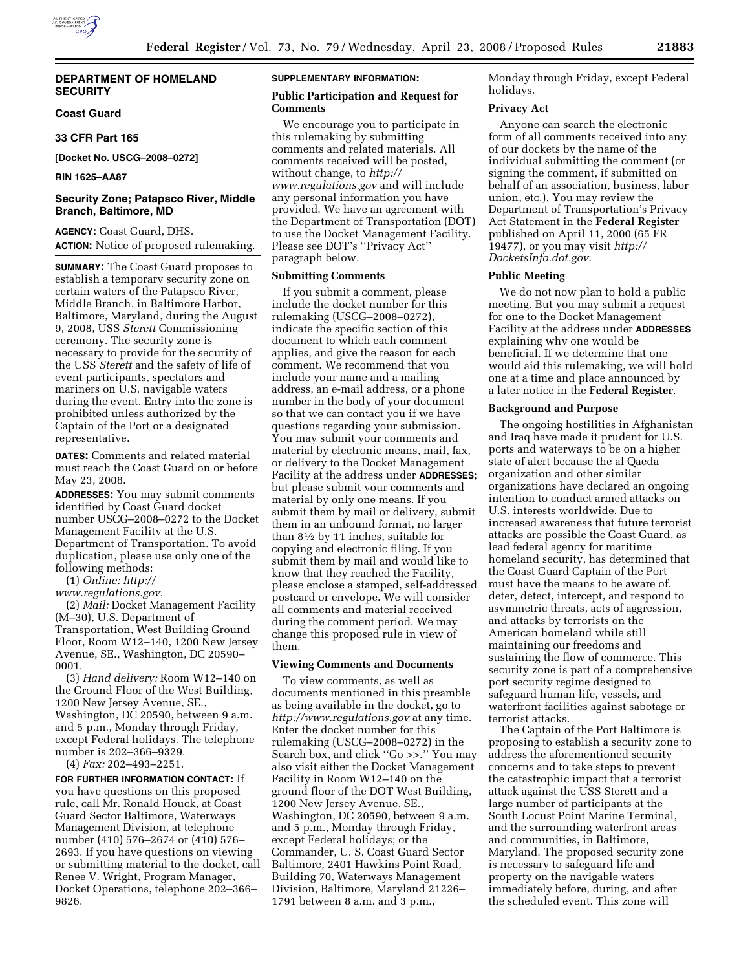# **DEPARTMENT OF HOMELAND SECURITY**

# **Coast Guard**

## **33 CFR Part 165**

**[Docket No. USCG–2008–0272]** 

### **RIN 1625–AA87**

# **Security Zone; Patapsco River, Middle Branch, Baltimore, MD**

**AGENCY:** Coast Guard, DHS. **ACTION:** Notice of proposed rulemaking.

**SUMMARY:** The Coast Guard proposes to establish a temporary security zone on certain waters of the Patapsco River, Middle Branch, in Baltimore Harbor, Baltimore, Maryland, during the August 9, 2008, USS *Sterett* Commissioning ceremony. The security zone is necessary to provide for the security of the USS *Sterett* and the safety of life of event participants, spectators and mariners on U.S. navigable waters during the event. Entry into the zone is prohibited unless authorized by the Captain of the Port or a designated representative.

**DATES:** Comments and related material must reach the Coast Guard on or before May 23, 2008.

**ADDRESSES:** You may submit comments identified by Coast Guard docket number USCG–2008–0272 to the Docket Management Facility at the U.S. Department of Transportation. To avoid duplication, please use only one of the following methods:

(1) *Online: http://* 

*www.regulations.gov*.

(2) *Mail:* Docket Management Facility (M–30), U.S. Department of Transportation, West Building Ground Floor, Room W12–140, 1200 New Jersey Avenue, SE., Washington, DC 20590– 0001.

(3) *Hand delivery:* Room W12–140 on the Ground Floor of the West Building, 1200 New Jersey Avenue, SE., Washington, DC 20590, between 9 a.m. and 5 p.m., Monday through Friday, except Federal holidays. The telephone number is 202–366–9329. (4) *Fax:* 202–493–2251.

**FOR FURTHER INFORMATION CONTACT:** If you have questions on this proposed rule, call Mr. Ronald Houck, at Coast Guard Sector Baltimore, Waterways Management Division, at telephone number (410) 576–2674 or (410) 576– 2693. If you have questions on viewing or submitting material to the docket, call Renee V. Wright, Program Manager, Docket Operations, telephone 202–366– 9826.

#### **SUPPLEMENTARY INFORMATION:**

## **Public Participation and Request for Comments**

We encourage you to participate in this rulemaking by submitting comments and related materials. All comments received will be posted, without change, to *http:// www.regulations.gov* and will include any personal information you have provided. We have an agreement with the Department of Transportation (DOT) to use the Docket Management Facility. Please see DOT's ''Privacy Act'' paragraph below.

# **Submitting Comments**

If you submit a comment, please include the docket number for this rulemaking (USCG–2008–0272), indicate the specific section of this document to which each comment applies, and give the reason for each comment. We recommend that you include your name and a mailing address, an e-mail address, or a phone number in the body of your document so that we can contact you if we have questions regarding your submission. You may submit your comments and material by electronic means, mail, fax, or delivery to the Docket Management Facility at the address under **ADDRESSES**; but please submit your comments and material by only one means. If you submit them by mail or delivery, submit them in an unbound format, no larger than 81⁄2 by 11 inches, suitable for copying and electronic filing. If you submit them by mail and would like to know that they reached the Facility, please enclose a stamped, self-addressed postcard or envelope. We will consider all comments and material received during the comment period. We may change this proposed rule in view of them.

## **Viewing Comments and Documents**

To view comments, as well as documents mentioned in this preamble as being available in the docket, go to *http://www.regulations.gov* at any time. Enter the docket number for this rulemaking (USCG–2008–0272) in the Search box, and click ''Go >>.'' You may also visit either the Docket Management Facility in Room W12–140 on the ground floor of the DOT West Building, 1200 New Jersey Avenue, SE., Washington, DC 20590, between 9 a.m. and 5 p.m., Monday through Friday, except Federal holidays; or the Commander, U. S. Coast Guard Sector Baltimore, 2401 Hawkins Point Road, Building 70, Waterways Management Division, Baltimore, Maryland 21226– 1791 between 8 a.m. and 3 p.m.,

Monday through Friday, except Federal holidays.

#### **Privacy Act**

Anyone can search the electronic form of all comments received into any of our dockets by the name of the individual submitting the comment (or signing the comment, if submitted on behalf of an association, business, labor union, etc.). You may review the Department of Transportation's Privacy Act Statement in the **Federal Register**  published on April 11, 2000 (65 FR 19477), or you may visit *http:// DocketsInfo.dot.gov*.

### **Public Meeting**

We do not now plan to hold a public meeting. But you may submit a request for one to the Docket Management Facility at the address under **ADDRESSES** explaining why one would be beneficial. If we determine that one would aid this rulemaking, we will hold one at a time and place announced by a later notice in the **Federal Register**.

### **Background and Purpose**

The ongoing hostilities in Afghanistan and Iraq have made it prudent for U.S. ports and waterways to be on a higher state of alert because the al Qaeda organization and other similar organizations have declared an ongoing intention to conduct armed attacks on U.S. interests worldwide. Due to increased awareness that future terrorist attacks are possible the Coast Guard, as lead federal agency for maritime homeland security, has determined that the Coast Guard Captain of the Port must have the means to be aware of, deter, detect, intercept, and respond to asymmetric threats, acts of aggression, and attacks by terrorists on the American homeland while still maintaining our freedoms and sustaining the flow of commerce. This security zone is part of a comprehensive port security regime designed to safeguard human life, vessels, and waterfront facilities against sabotage or terrorist attacks.

The Captain of the Port Baltimore is proposing to establish a security zone to address the aforementioned security concerns and to take steps to prevent the catastrophic impact that a terrorist attack against the USS Sterett and a large number of participants at the South Locust Point Marine Terminal, and the surrounding waterfront areas and communities, in Baltimore, Maryland. The proposed security zone is necessary to safeguard life and property on the navigable waters immediately before, during, and after the scheduled event. This zone will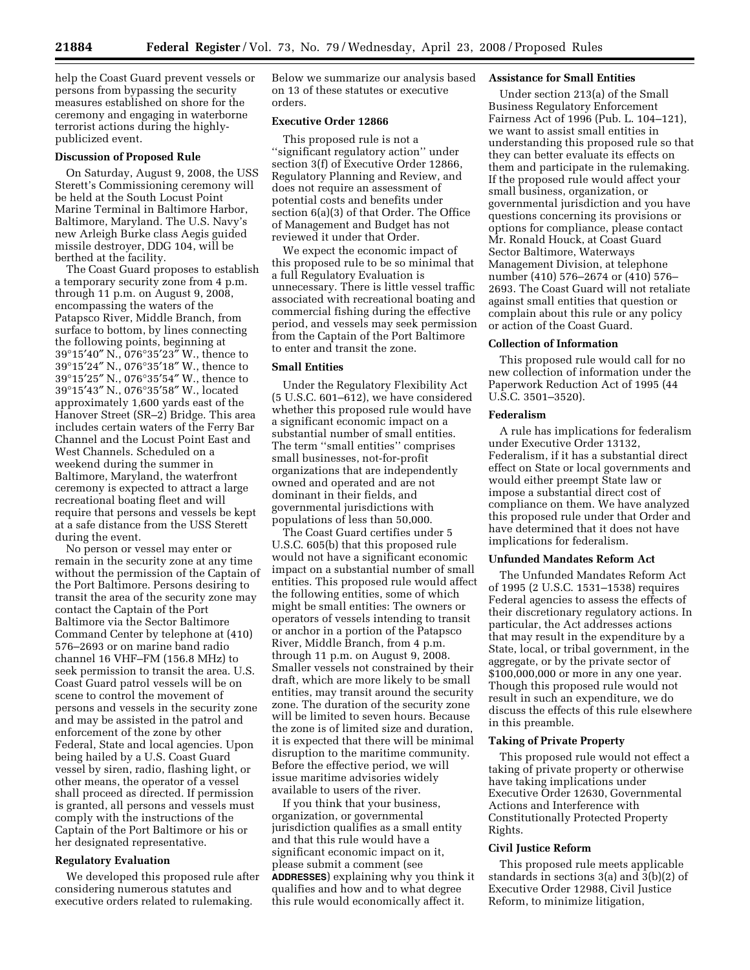help the Coast Guard prevent vessels or persons from bypassing the security measures established on shore for the ceremony and engaging in waterborne terrorist actions during the highlypublicized event.

#### **Discussion of Proposed Rule**

On Saturday, August 9, 2008, the USS Sterett's Commissioning ceremony will be held at the South Locust Point Marine Terminal in Baltimore Harbor, Baltimore, Maryland. The U.S. Navy's new Arleigh Burke class Aegis guided missile destroyer, DDG 104, will be berthed at the facility.

The Coast Guard proposes to establish a temporary security zone from 4 p.m. through 11 p.m. on August 9, 2008, encompassing the waters of the Patapsco River, Middle Branch, from surface to bottom, by lines connecting the following points, beginning at 39°15′40″ N., 076°35′23″ W., thence to 39°15′24″ N., 076°35′18″ W., thence to 39°15′25″ N., 076°35′54″ W., thence to 39°15′43″ N., 076°35′58″ W., located approximately 1,600 yards east of the Hanover Street (SR–2) Bridge. This area includes certain waters of the Ferry Bar Channel and the Locust Point East and West Channels. Scheduled on a weekend during the summer in Baltimore, Maryland, the waterfront ceremony is expected to attract a large recreational boating fleet and will require that persons and vessels be kept at a safe distance from the USS Sterett during the event.

No person or vessel may enter or remain in the security zone at any time without the permission of the Captain of the Port Baltimore. Persons desiring to transit the area of the security zone may contact the Captain of the Port Baltimore via the Sector Baltimore Command Center by telephone at (410) 576–2693 or on marine band radio channel 16 VHF–FM (156.8 MHz) to seek permission to transit the area. U.S. Coast Guard patrol vessels will be on scene to control the movement of persons and vessels in the security zone and may be assisted in the patrol and enforcement of the zone by other Federal, State and local agencies. Upon being hailed by a U.S. Coast Guard vessel by siren, radio, flashing light, or other means, the operator of a vessel shall proceed as directed. If permission is granted, all persons and vessels must comply with the instructions of the Captain of the Port Baltimore or his or her designated representative.

## **Regulatory Evaluation**

We developed this proposed rule after considering numerous statutes and executive orders related to rulemaking.

Below we summarize our analysis based on 13 of these statutes or executive orders.

# **Executive Order 12866**

This proposed rule is not a ''significant regulatory action'' under section 3(f) of Executive Order 12866, Regulatory Planning and Review, and does not require an assessment of potential costs and benefits under section 6(a)(3) of that Order. The Office of Management and Budget has not reviewed it under that Order.

We expect the economic impact of this proposed rule to be so minimal that a full Regulatory Evaluation is unnecessary. There is little vessel traffic associated with recreational boating and commercial fishing during the effective period, and vessels may seek permission from the Captain of the Port Baltimore to enter and transit the zone.

### **Small Entities**

Under the Regulatory Flexibility Act (5 U.S.C. 601–612), we have considered whether this proposed rule would have a significant economic impact on a substantial number of small entities. The term ''small entities'' comprises small businesses, not-for-profit organizations that are independently owned and operated and are not dominant in their fields, and governmental jurisdictions with populations of less than 50,000.

The Coast Guard certifies under 5 U.S.C. 605(b) that this proposed rule would not have a significant economic impact on a substantial number of small entities. This proposed rule would affect the following entities, some of which might be small entities: The owners or operators of vessels intending to transit or anchor in a portion of the Patapsco River, Middle Branch, from 4 p.m. through 11 p.m. on August 9, 2008. Smaller vessels not constrained by their draft, which are more likely to be small entities, may transit around the security zone. The duration of the security zone will be limited to seven hours. Because the zone is of limited size and duration, it is expected that there will be minimal disruption to the maritime community. Before the effective period, we will issue maritime advisories widely available to users of the river.

If you think that your business, organization, or governmental jurisdiction qualifies as a small entity and that this rule would have a significant economic impact on it, please submit a comment (see **ADDRESSES**) explaining why you think it qualifies and how and to what degree this rule would economically affect it.

# **Assistance for Small Entities**

Under section 213(a) of the Small Business Regulatory Enforcement Fairness Act of 1996 (Pub. L. 104–121), we want to assist small entities in understanding this proposed rule so that they can better evaluate its effects on them and participate in the rulemaking. If the proposed rule would affect your small business, organization, or governmental jurisdiction and you have questions concerning its provisions or options for compliance, please contact Mr. Ronald Houck, at Coast Guard Sector Baltimore, Waterways Management Division, at telephone number (410) 576–2674 or (410) 576– 2693. The Coast Guard will not retaliate against small entities that question or complain about this rule or any policy or action of the Coast Guard.

## **Collection of Information**

This proposed rule would call for no new collection of information under the Paperwork Reduction Act of 1995 (44 U.S.C. 3501–3520).

#### **Federalism**

A rule has implications for federalism under Executive Order 13132, Federalism, if it has a substantial direct effect on State or local governments and would either preempt State law or impose a substantial direct cost of compliance on them. We have analyzed this proposed rule under that Order and have determined that it does not have implications for federalism.

#### **Unfunded Mandates Reform Act**

The Unfunded Mandates Reform Act of 1995 (2 U.S.C. 1531–1538) requires Federal agencies to assess the effects of their discretionary regulatory actions. In particular, the Act addresses actions that may result in the expenditure by a State, local, or tribal government, in the aggregate, or by the private sector of \$100,000,000 or more in any one year. Though this proposed rule would not result in such an expenditure, we do discuss the effects of this rule elsewhere in this preamble.

## **Taking of Private Property**

This proposed rule would not effect a taking of private property or otherwise have taking implications under Executive Order 12630, Governmental Actions and Interference with Constitutionally Protected Property Rights.

#### **Civil Justice Reform**

This proposed rule meets applicable standards in sections 3(a) and 3(b)(2) of Executive Order 12988, Civil Justice Reform, to minimize litigation,